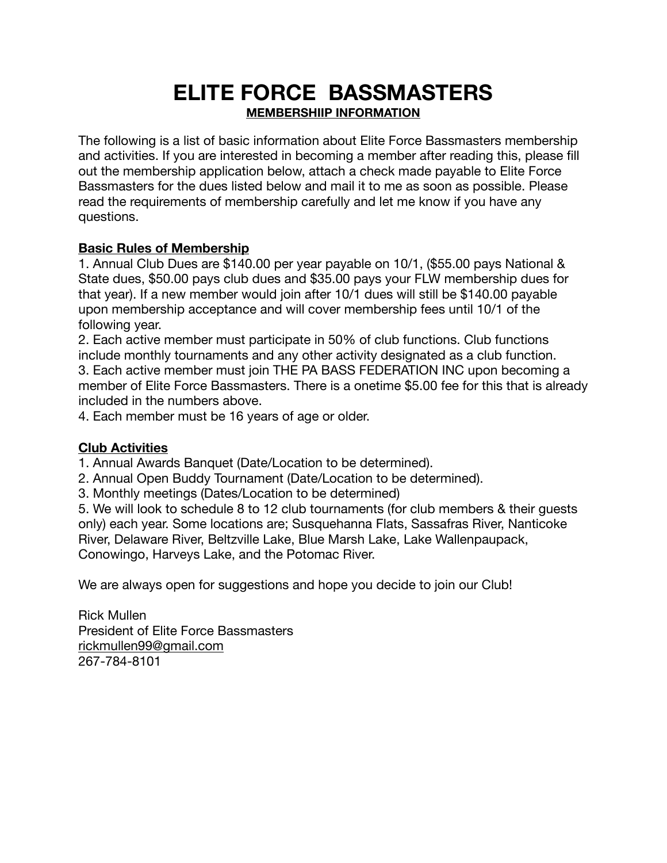# **ELITE FORCE BASSMASTERS MEMBERSHIIP INFORMATION**

The following is a list of basic information about Elite Force Bassmasters membership and activities. If you are interested in becoming a member after reading this, please fill out the membership application below, attach a check made payable to Elite Force Bassmasters for the dues listed below and mail it to me as soon as possible. Please read the requirements of membership carefully and let me know if you have any questions.

#### **Basic Rules of Membership**

1. Annual Club Dues are \$140.00 per year payable on 10/1, (\$55.00 pays National & State dues, \$50.00 pays club dues and \$35.00 pays your FLW membership dues for that year). If a new member would join after 10/1 dues will still be \$140.00 payable upon membership acceptance and will cover membership fees until 10/1 of the following year.

2. Each active member must participate in 50% of club functions. Club functions include monthly tournaments and any other activity designated as a club function. 3. Each active member must join THE PA BASS FEDERATION INC upon becoming a member of Elite Force Bassmasters. There is a onetime \$5.00 fee for this that is already included in the numbers above.

4. Each member must be 16 years of age or older.

#### **Club Activities**

1. Annual Awards Banquet (Date/Location to be determined).

- 2. Annual Open Buddy Tournament (Date/Location to be determined).
- 3. Monthly meetings (Dates/Location to be determined)

5. We will look to schedule 8 to 12 club tournaments (for club members & their guests only) each year. Some locations are; Susquehanna Flats, Sassafras River, Nanticoke River, Delaware River, Beltzville Lake, Blue Marsh Lake, Lake Wallenpaupack, Conowingo, Harveys Lake, and the Potomac River.

We are always open for suggestions and hope you decide to join our Club!

Rick Mullen President of Elite Force Bassmasters [rickmullen99@gmail.com](mailto:rickmullen99@gmail.com) 267-784-8101